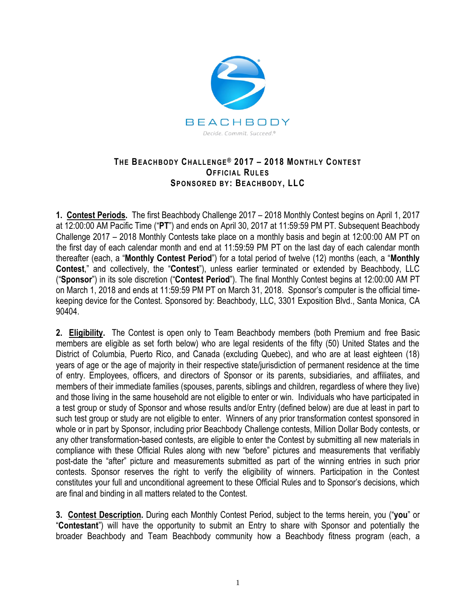

## **THE BEACH BODY CH ALL EN GE® 2017 – 2018 MONTHLY CONT EST OFFICIAL RUL ES SPONSOR ED BY: BEACH BOD Y, LLC**

**1. Contest Periods.** The first Beachbody Challenge 2017 – 2018 Monthly Contest begins on April 1, 2017 at 12:00:00 AM Pacific Time ("**PT**") and ends on April 30, 2017 at 11:59:59 PM PT. Subsequent Beachbody Challenge 2017 – 2018 Monthly Contests take place on a monthly basis and begin at 12:00:00 AM PT on the first day of each calendar month and end at 11:59:59 PM PT on the last day of each calendar month thereafter (each, a "**Monthly Contest Period**") for a total period of twelve (12) months (each, a "**Monthly Contest**," and collectively, the "**Contest**"), unless earlier terminated or extended by Beachbody, LLC ("**Sponsor**") in its sole discretion ("**Contest Period**"). The final Monthly Contest begins at 12:00:00 AM PT on March 1, 2018 and ends at 11:59:59 PM PT on March 31, 2018. Sponsor's computer is the official timekeeping device for the Contest. Sponsored by: Beachbody, LLC, 3301 Exposition Blvd., Santa Monica, CA 90404.

**2. Eligibility.** The Contest is open only to Team Beachbody members (both Premium and free Basic members are eligible as set forth below) who are legal residents of the fifty (50) United States and the District of Columbia, Puerto Rico, and Canada (excluding Quebec), and who are at least eighteen (18) years of age or the age of majority in their respective state/jurisdiction of permanent residence at the time of entry. Employees, officers, and directors of Sponsor or its parents, subsidiaries, and affiliates, and members of their immediate families (spouses, parents, siblings and children, regardless of where they live) and those living in the same household are not eligible to enter or win. Individuals who have participated in a test group or study of Sponsor and whose results and/or Entry (defined below) are due at least in part to such test group or study are not eligible to enter. Winners of any prior transformation contest sponsored in whole or in part by Sponsor, including prior Beachbody Challenge contests, Million Dollar Body contests, or any other transformation-based contests, are eligible to enter the Contest by submitting all new materials in compliance with these Official Rules along with new "before" pictures and measurements that verifiably post-date the "after" picture and measurements submitted as part of the winning entries in such prior contests. Sponsor reserves the right to verify the eligibility of winners. Participation in the Contest constitutes your full and unconditional agreement to these Official Rules and to Sponsor's decisions, which are final and binding in all matters related to the Contest.

**3. Contest Description.** During each Monthly Contest Period, subject to the terms herein, you ("**you**" or "**Contestant**") will have the opportunity to submit an Entry to share with Sponsor and potentially the broader Beachbody and Team Beachbody community how a Beachbody fitness program (each, a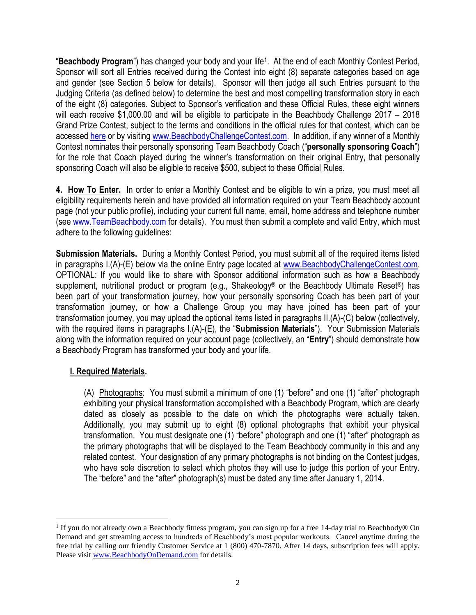"**Beachbody Program**") has changed your body and your life<sup>1</sup> . At the end of each Monthly Contest Period, Sponsor will sort all Entries received during the Contest into eight (8) separate categories based on age and gender (see Section 5 below for details). Sponsor will then judge all such Entries pursuant to the Judging Criteria (as defined below) to determine the best and most compelling transformation story in each of the eight (8) categories. Subject to Sponsor's verification and these Official Rules, these eight winners will each receive \$1,000.00 and will be eligible to participate in the Beachbody Challenge 2017 – 2018 Grand Prize Contest, subject to the terms and conditions in the official rules for that contest, which can be accessed [here](http://www.beachbodychallengecontest.com/) or by visiting [www.BeachbodyChallengeContest.com.](http://www.beachbodychallengecontest.com/) In addition, if any winner of a Monthly Contest nominates their personally sponsoring Team Beachbody Coach ("**personally sponsoring Coach**") for the role that Coach played during the winner's transformation on their original Entry, that personally sponsoring Coach will also be eligible to receive \$500, subject to these Official Rules.

**4. How To Enter.** In order to enter a Monthly Contest and be eligible to win a prize, you must meet all eligibility requirements herein and have provided all information required on your Team Beachbody account page (not your public profile), including your current full name, email, home address and telephone number (see [www.TeamBeachbody.com](http://www.teambeachbody.com/) for details). You must then submit a complete and valid Entry, which must adhere to the following guidelines:

**Submission Materials.** During a Monthly Contest Period, you must submit all of the required items listed in paragraphs I.(A)-(E) below via the online Entry page located at [www.BeachbodyChallengeContest.com.](http://www.beachbodychallengecontest.com/) OPTIONAL: If you would like to share with Sponsor additional information such as how a Beachbody supplement, nutritional product or program (e.g., Shakeology® or the Beachbody Ultimate Reset®) has been part of your transformation journey, how your personally sponsoring Coach has been part of your transformation journey, or how a Challenge Group you may have joined has been part of your transformation journey, you may upload the optional items listed in paragraphs II.(A)-(C) below (collectively, with the required items in paragraphs I.(A)-(E), the "**Submission Materials**"). Your Submission Materials along with the information required on your account page (collectively, an "**Entry**") should demonstrate how a Beachbody Program has transformed your body and your life.

## **I. Required Materials.**

 $\overline{a}$ 

(A) Photographs: You must submit a minimum of one (1) "before" and one (1) "after" photograph exhibiting your physical transformation accomplished with a Beachbody Program, which are clearly dated as closely as possible to the date on which the photographs were actually taken. Additionally, you may submit up to eight (8) optional photographs that exhibit your physical transformation. You must designate one (1) "before" photograph and one (1) "after" photograph as the primary photographs that will be displayed to the Team Beachbody community in this and any related contest. Your designation of any primary photographs is not binding on the Contest judges, who have sole discretion to select which photos they will use to judge this portion of your Entry. The "before" and the "after" photograph(s) must be dated any time after January 1, 2014.

<sup>&</sup>lt;sup>1</sup> If you do not already own a Beachbody fitness program, you can sign up for a free 14-day trial to Beachbody® On Demand and get streaming access to hundreds of Beachbody's most popular workouts. Cancel anytime during the free trial by calling our friendly Customer Service at 1 (800) 470-7870. After 14 days, subscription fees will apply. Please visit [www.BeachbodyOnDemand.com](http://www.beachbodyondemand.com/) for details.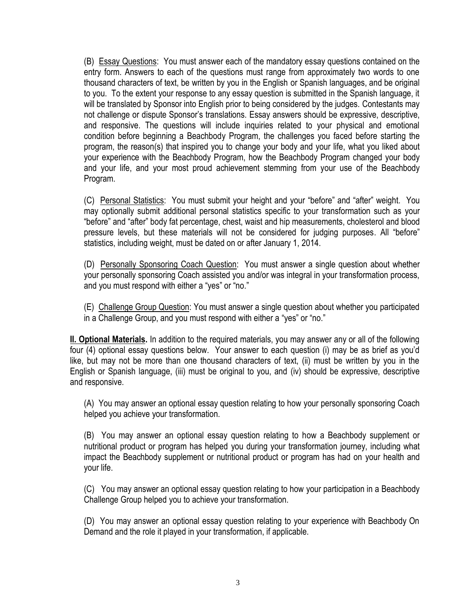(B) Essay Questions: You must answer each of the mandatory essay questions contained on the entry form. Answers to each of the questions must range from approximately two words to one thousand characters of text, be written by you in the English or Spanish languages, and be original to you. To the extent your response to any essay question is submitted in the Spanish language, it will be translated by Sponsor into English prior to being considered by the judges. Contestants may not challenge or dispute Sponsor's translations. Essay answers should be expressive, descriptive, and responsive. The questions will include inquiries related to your physical and emotional condition before beginning a Beachbody Program, the challenges you faced before starting the program, the reason(s) that inspired you to change your body and your life, what you liked about your experience with the Beachbody Program, how the Beachbody Program changed your body and your life, and your most proud achievement stemming from your use of the Beachbody Program.

(C) Personal Statistics: You must submit your height and your "before" and "after" weight. You may optionally submit additional personal statistics specific to your transformation such as your "before" and "after" body fat percentage, chest, waist and hip measurements, cholesterol and blood pressure levels, but these materials will not be considered for judging purposes. All "before" statistics, including weight, must be dated on or after January 1, 2014.

(D) Personally Sponsoring Coach Question: You must answer a single question about whether your personally sponsoring Coach assisted you and/or was integral in your transformation process, and you must respond with either a "yes" or "no."

(E) Challenge Group Question: You must answer a single question about whether you participated in a Challenge Group, and you must respond with either a "yes" or "no."

**II. Optional Materials.** In addition to the required materials, you may answer any or all of the following four (4) optional essay questions below. Your answer to each question (i) may be as brief as you'd like, but may not be more than one thousand characters of text, (ii) must be written by you in the English or Spanish language, (iii) must be original to you, and (iv) should be expressive, descriptive and responsive.

(A) You may answer an optional essay question relating to how your personally sponsoring Coach helped you achieve your transformation.

(B) You may answer an optional essay question relating to how a Beachbody supplement or nutritional product or program has helped you during your transformation journey, including what impact the Beachbody supplement or nutritional product or program has had on your health and your life.

(C) You may answer an optional essay question relating to how your participation in a Beachbody Challenge Group helped you to achieve your transformation.

(D) You may answer an optional essay question relating to your experience with Beachbody On Demand and the role it played in your transformation, if applicable.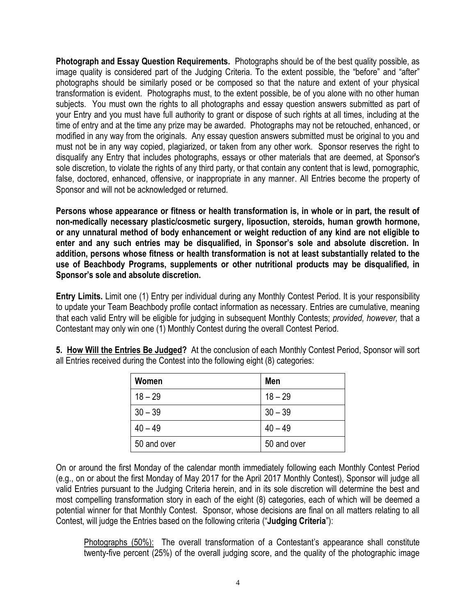**Photograph and Essay Question Requirements.** Photographs should be of the best quality possible, as image quality is considered part of the Judging Criteria. To the extent possible, the "before" and "after" photographs should be similarly posed or be composed so that the nature and extent of your physical transformation is evident. Photographs must, to the extent possible, be of you alone with no other human subjects. You must own the rights to all photographs and essay question answers submitted as part of your Entry and you must have full authority to grant or dispose of such rights at all times, including at the time of entry and at the time any prize may be awarded. Photographs may not be retouched, enhanced, or modified in any way from the originals. Any essay question answers submitted must be original to you and must not be in any way copied, plagiarized, or taken from any other work. Sponsor reserves the right to disqualify any Entry that includes photographs, essays or other materials that are deemed, at Sponsor's sole discretion, to violate the rights of any third party, or that contain any content that is lewd, pornographic, false, doctored, enhanced, offensive, or inappropriate in any manner. All Entries become the property of Sponsor and will not be acknowledged or returned.

**Persons whose appearance or fitness or health transformation is, in whole or in part, the result of non-medically necessary plastic/cosmetic surgery, liposuction, steroids, human growth hormone, or any unnatural method of body enhancement or weight reduction of any kind are not eligible to enter and any such entries may be disqualified, in Sponsor's sole and absolute discretion. In addition, persons whose fitness or health transformation is not at least substantially related to the use of Beachbody Programs, supplements or other nutritional products may be disqualified, in Sponsor's sole and absolute discretion.**

**Entry Limits.** Limit one (1) Entry per individual during any Monthly Contest Period. It is your responsibility to update your Team Beachbody profile contact information as necessary. Entries are cumulative, meaning that each valid Entry will be eligible for judging in subsequent Monthly Contests; *provided, however,* that a Contestant may only win one (1) Monthly Contest during the overall Contest Period.

| 5. How Will the Entries Be Judged? At the conclusion of each Monthly Contest Period, Sponsor will sort |  |
|--------------------------------------------------------------------------------------------------------|--|
| all Entries received during the Contest into the following eight (8) categories:                       |  |

| Women       | Men         |
|-------------|-------------|
| $18 - 29$   | $18 - 29$   |
| $30 - 39$   | $30 - 39$   |
| $40 - 49$   | $40 - 49$   |
| 50 and over | 50 and over |

On or around the first Monday of the calendar month immediately following each Monthly Contest Period (e.g., on or about the first Monday of May 2017 for the April 2017 Monthly Contest), Sponsor will judge all valid Entries pursuant to the Judging Criteria herein, and in its sole discretion will determine the best and most compelling transformation story in each of the eight (8) categories, each of which will be deemed a potential winner for that Monthly Contest. Sponsor, whose decisions are final on all matters relating to all Contest, will judge the Entries based on the following criteria ("**Judging Criteria**"):

Photographs (50%): The overall transformation of a Contestant's appearance shall constitute twenty-five percent (25%) of the overall judging score, and the quality of the photographic image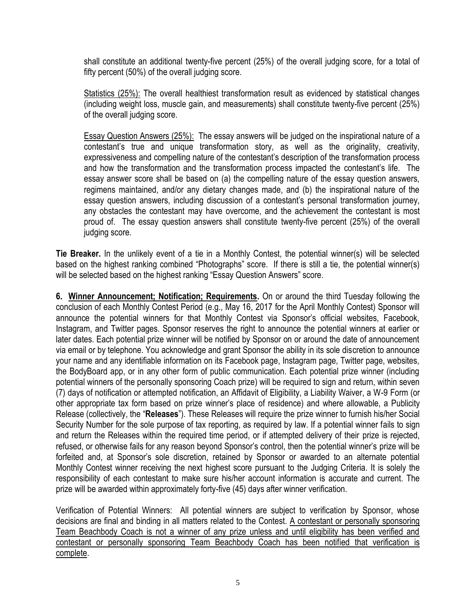shall constitute an additional twenty-five percent (25%) of the overall judging score, for a total of fifty percent (50%) of the overall judging score.

Statistics (25%): The overall healthiest transformation result as evidenced by statistical changes (including weight loss, muscle gain, and measurements) shall constitute twenty-five percent (25%) of the overall judging score.

**Essay Question Answers (25%):** The essay answers will be judged on the inspirational nature of a contestant's true and unique transformation story, as well as the originality, creativity, expressiveness and compelling nature of the contestant's description of the transformation process and how the transformation and the transformation process impacted the contestant's life. The essay answer score shall be based on (a) the compelling nature of the essay question answers, regimens maintained, and/or any dietary changes made, and (b) the inspirational nature of the essay question answers, including discussion of a contestant's personal transformation journey, any obstacles the contestant may have overcome, and the achievement the contestant is most proud of. The essay question answers shall constitute twenty-five percent (25%) of the overall judging score.

**Tie Breaker.** In the unlikely event of a tie in a Monthly Contest, the potential winner(s) will be selected based on the highest ranking combined "Photographs" score. If there is still a tie, the potential winner(s) will be selected based on the highest ranking "Essay Question Answers" score.

**6. Winner Announcement; Notification; Requirements.** On or around the third Tuesday following the conclusion of each Monthly Contest Period (e.g., May 16, 2017 for the April Monthly Contest) Sponsor will announce the potential winners for that Monthly Contest via Sponsor's official websites, Facebook, Instagram, and Twitter pages. Sponsor reserves the right to announce the potential winners at earlier or later dates. Each potential prize winner will be notified by Sponsor on or around the date of announcement via email or by telephone. You acknowledge and grant Sponsor the ability in its sole discretion to announce your name and any identifiable information on its Facebook page, Instagram page, Twitter page, websites, the BodyBoard app, or in any other form of public communication. Each potential prize winner (including potential winners of the personally sponsoring Coach prize) will be required to sign and return, within seven (7) days of notification or attempted notification, an Affidavit of Eligibility, a Liability Waiver, a W-9 Form (or other appropriate tax form based on prize winner's place of residence) and where allowable, a Publicity Release (collectively, the "**Releases**"). These Releases will require the prize winner to furnish his/her Social Security Number for the sole purpose of tax reporting, as required by law. If a potential winner fails to sign and return the Releases within the required time period, or if attempted delivery of their prize is rejected, refused, or otherwise fails for any reason beyond Sponsor's control, then the potential winner's prize will be forfeited and, at Sponsor's sole discretion, retained by Sponsor or awarded to an alternate potential Monthly Contest winner receiving the next highest score pursuant to the Judging Criteria. It is solely the responsibility of each contestant to make sure his/her account information is accurate and current. The prize will be awarded within approximately forty-five (45) days after winner verification.

Verification of Potential Winners: All potential winners are subject to verification by Sponsor, whose decisions are final and binding in all matters related to the Contest. A contestant or personally sponsoring Team Beachbody Coach is not a winner of any prize unless and until eligibility has been verified and contestant or personally sponsoring Team Beachbody Coach has been notified that verification is complete.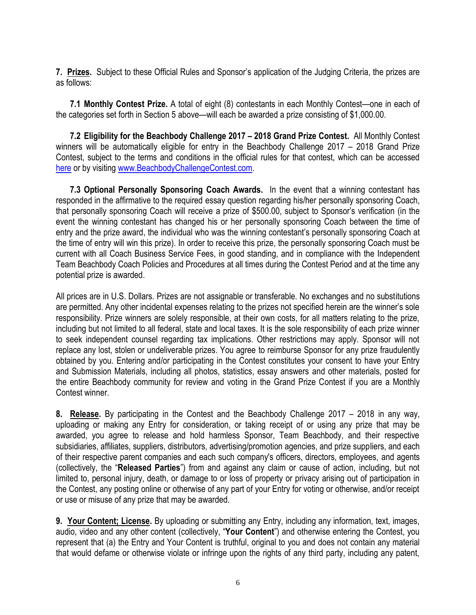**7. Prizes.** Subject to these Official Rules and Sponsor's application of the Judging Criteria, the prizes are as follows:

**7.1 Monthly Contest Prize.** A total of eight (8) contestants in each Monthly Contest—one in each of the categories set forth in Section 5 above—will each be awarded a prize consisting of \$1,000.00.

**7.2 Eligibility for the Beachbody Challenge 2017 – 2018 Grand Prize Contest.** All Monthly Contest winners will be automatically eligible for entry in the Beachbody Challenge 2017 – 2018 Grand Prize Contest, subject to the terms and conditions in the official rules for that contest, which can be accessed [here](http://www.beachbodychallengecontest.com/) or by visiting [www.BeachbodyChallengeContest.com.](http://www.beachbodychallengecontest.com/)

**7.3 Optional Personally Sponsoring Coach Awards.** In the event that a winning contestant has responded in the affirmative to the required essay question regarding his/her personally sponsoring Coach, that personally sponsoring Coach will receive a prize of \$500.00, subject to Sponsor's verification (in the event the winning contestant has changed his or her personally sponsoring Coach between the time of entry and the prize award, the individual who was the winning contestant's personally sponsoring Coach at the time of entry will win this prize). In order to receive this prize, the personally sponsoring Coach must be current with all Coach Business Service Fees, in good standing, and in compliance with the Independent Team Beachbody Coach Policies and Procedures at all times during the Contest Period and at the time any potential prize is awarded.

All prices are in U.S. Dollars. Prizes are not assignable or transferable. No exchanges and no substitutions are permitted. Any other incidental expenses relating to the prizes not specified herein are the winner's sole responsibility. Prize winners are solely responsible, at their own costs, for all matters relating to the prize, including but not limited to all federal, state and local taxes. It is the sole responsibility of each prize winner to seek independent counsel regarding tax implications. Other restrictions may apply. Sponsor will not replace any lost, stolen or undeliverable prizes. You agree to reimburse Sponsor for any prize fraudulently obtained by you. Entering and/or participating in the Contest constitutes your consent to have your Entry and Submission Materials, including all photos, statistics, essay answers and other materials, posted for the entire Beachbody community for review and voting in the Grand Prize Contest if you are a Monthly Contest winner.

**8. Release.** By participating in the Contest and the Beachbody Challenge 2017 – 2018 in any way, uploading or making any Entry for consideration, or taking receipt of or using any prize that may be awarded, you agree to release and hold harmless Sponsor, Team Beachbody, and their respective subsidiaries, affiliates, suppliers, distributors, advertising/promotion agencies, and prize suppliers, and each of their respective parent companies and each such company's officers, directors, employees, and agents (collectively, the "**Released Parties**") from and against any claim or cause of action, including, but not limited to, personal injury, death, or damage to or loss of property or privacy arising out of participation in the Contest, any posting online or otherwise of any part of your Entry for voting or otherwise, and/or receipt or use or misuse of any prize that may be awarded.

**9. Your Content; License.** By uploading or submitting any Entry, including any information, text, images, audio, video and any other content (collectively, "**Your Content**") and otherwise entering the Contest, you represent that (a) the Entry and Your Content is truthful, original to you and does not contain any material that would defame or otherwise violate or infringe upon the rights of any third party, including any patent,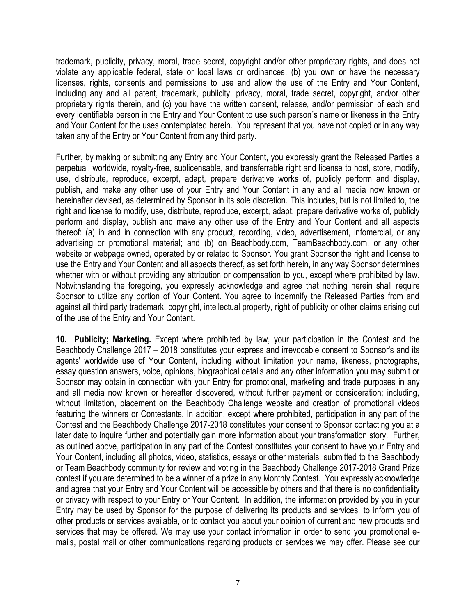trademark, publicity, privacy, moral, trade secret, copyright and/or other proprietary rights, and does not violate any applicable federal, state or local laws or ordinances, (b) you own or have the necessary licenses, rights, consents and permissions to use and allow the use of the Entry and Your Content, including any and all patent, trademark, publicity, privacy, moral, trade secret, copyright, and/or other proprietary rights therein, and (c) you have the written consent, release, and/or permission of each and every identifiable person in the Entry and Your Content to use such person's name or likeness in the Entry and Your Content for the uses contemplated herein. You represent that you have not copied or in any way taken any of the Entry or Your Content from any third party.

Further, by making or submitting any Entry and Your Content, you expressly grant the Released Parties a perpetual, worldwide, royalty-free, sublicensable, and transferrable right and license to host, store, modify, use, distribute, reproduce, excerpt, adapt, prepare derivative works of, publicly perform and display, publish, and make any other use of your Entry and Your Content in any and all media now known or hereinafter devised, as determined by Sponsor in its sole discretion. This includes, but is not limited to, the right and license to modify, use, distribute, reproduce, excerpt, adapt, prepare derivative works of, publicly perform and display, publish and make any other use of the Entry and Your Content and all aspects thereof: (a) in and in connection with any product, recording, video, advertisement, infomercial, or any advertising or promotional material; and (b) on Beachbody.com, TeamBeachbody.com, or any other website or webpage owned, operated by or related to Sponsor. You grant Sponsor the right and license to use the Entry and Your Content and all aspects thereof, as set forth herein, in any way Sponsor determines whether with or without providing any attribution or compensation to you, except where prohibited by law. Notwithstanding the foregoing, you expressly acknowledge and agree that nothing herein shall require Sponsor to utilize any portion of Your Content. You agree to indemnify the Released Parties from and against all third party trademark, copyright, intellectual property, right of publicity or other claims arising out of the use of the Entry and Your Content.

**10. Publicity; Marketing.** Except where prohibited by law, your participation in the Contest and the Beachbody Challenge 2017 – 2018 constitutes your express and irrevocable consent to Sponsor's and its agents' worldwide use of Your Content, including without limitation your name, likeness, photographs, essay question answers, voice, opinions, biographical details and any other information you may submit or Sponsor may obtain in connection with your Entry for promotional, marketing and trade purposes in any and all media now known or hereafter discovered, without further payment or consideration; including, without limitation, placement on the Beachbody Challenge website and creation of promotional videos featuring the winners or Contestants. In addition, except where prohibited, participation in any part of the Contest and the Beachbody Challenge 2017-2018 constitutes your consent to Sponsor contacting you at a later date to inquire further and potentially gain more information about your transformation story. Further, as outlined above, participation in any part of the Contest constitutes your consent to have your Entry and Your Content, including all photos, video, statistics, essays or other materials, submitted to the Beachbody or Team Beachbody community for review and voting in the Beachbody Challenge 2017-2018 Grand Prize contest if you are determined to be a winner of a prize in any Monthly Contest. You expressly acknowledge and agree that your Entry and Your Content will be accessible by others and that there is no confidentiality or privacy with respect to your Entry or Your Content. In addition, the information provided by you in your Entry may be used by Sponsor for the purpose of delivering its products and services, to inform you of other products or services available, or to contact you about your opinion of current and new products and services that may be offered. We may use your contact information in order to send you promotional emails, postal mail or other communications regarding products or services we may offer. Please see our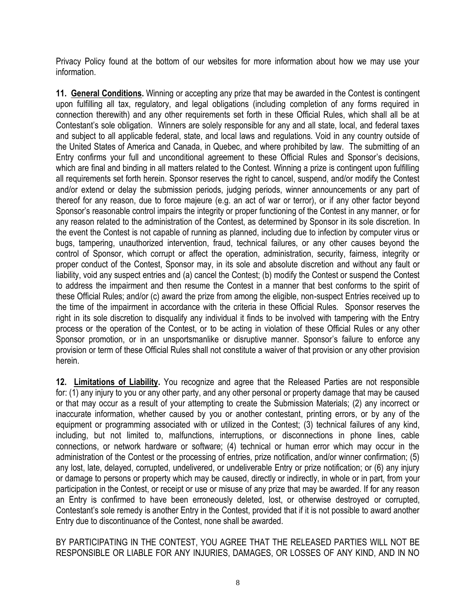Privacy Policy found at the bottom of our websites for more information about how we may use your information.

**11. General Conditions.** Winning or accepting any prize that may be awarded in the Contest is contingent upon fulfilling all tax, regulatory, and legal obligations (including completion of any forms required in connection therewith) and any other requirements set forth in these Official Rules, which shall all be at Contestant's sole obligation. Winners are solely responsible for any and all state, local, and federal taxes and subject to all applicable federal, state, and local laws and regulations. Void in any country outside of the United States of America and Canada, in Quebec, and where prohibited by law. The submitting of an Entry confirms your full and unconditional agreement to these Official Rules and Sponsor's decisions, which are final and binding in all matters related to the Contest. Winning a prize is contingent upon fulfilling all requirements set forth herein. Sponsor reserves the right to cancel, suspend, and/or modify the Contest and/or extend or delay the submission periods, judging periods, winner announcements or any part of thereof for any reason, due to force majeure (e.g. an act of war or terror), or if any other factor beyond Sponsor's reasonable control impairs the integrity or proper functioning of the Contest in any manner, or for any reason related to the administration of the Contest, as determined by Sponsor in its sole discretion. In the event the Contest is not capable of running as planned, including due to infection by computer virus or bugs, tampering, unauthorized intervention, fraud, technical failures, or any other causes beyond the control of Sponsor, which corrupt or affect the operation, administration, security, fairness, integrity or proper conduct of the Contest, Sponsor may, in its sole and absolute discretion and without any fault or liability, void any suspect entries and (a) cancel the Contest; (b) modify the Contest or suspend the Contest to address the impairment and then resume the Contest in a manner that best conforms to the spirit of these Official Rules; and/or (c) award the prize from among the eligible, non-suspect Entries received up to the time of the impairment in accordance with the criteria in these Official Rules. Sponsor reserves the right in its sole discretion to disqualify any individual it finds to be involved with tampering with the Entry process or the operation of the Contest, or to be acting in violation of these Official Rules or any other Sponsor promotion, or in an unsportsmanlike or disruptive manner. Sponsor's failure to enforce any provision or term of these Official Rules shall not constitute a waiver of that provision or any other provision herein.

**12. Limitations of Liability.** You recognize and agree that the Released Parties are not responsible for: (1) any injury to you or any other party, and any other personal or property damage that may be caused or that may occur as a result of your attempting to create the Submission Materials; (2) any incorrect or inaccurate information, whether caused by you or another contestant, printing errors, or by any of the equipment or programming associated with or utilized in the Contest; (3) technical failures of any kind, including, but not limited to, malfunctions, interruptions, or disconnections in phone lines, cable connections, or network hardware or software; (4) technical or human error which may occur in the administration of the Contest or the processing of entries, prize notification, and/or winner confirmation; (5) any lost, late, delayed, corrupted, undelivered, or undeliverable Entry or prize notification; or (6) any injury or damage to persons or property which may be caused, directly or indirectly, in whole or in part, from your participation in the Contest, or receipt or use or misuse of any prize that may be awarded. If for any reason an Entry is confirmed to have been erroneously deleted, lost, or otherwise destroyed or corrupted, Contestant's sole remedy is another Entry in the Contest, provided that if it is not possible to award another Entry due to discontinuance of the Contest, none shall be awarded.

BY PARTICIPATING IN THE CONTEST, YOU AGREE THAT THE RELEASED PARTIES WILL NOT BE RESPONSIBLE OR LIABLE FOR ANY INJURIES, DAMAGES, OR LOSSES OF ANY KIND, AND IN NO